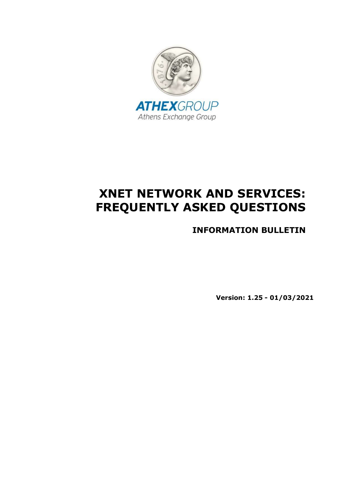

# XNET NETWORK AND SERVICES: FREQUENTLY ASKED QUESTIONS

INFORMATION BULLETIN

Version: 1.25 - 01/03/2021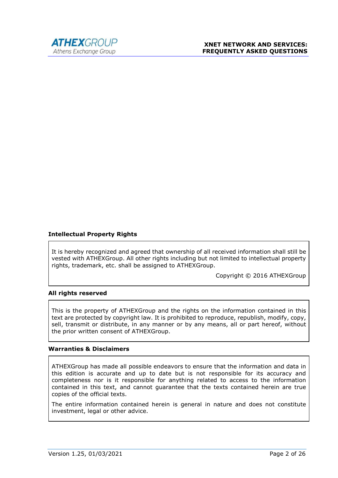

#### Intellectual Property Rights

It is hereby recognized and agreed that ownership of all received information shall still be vested with ATHEXGroup. All other rights including but not limited to intellectual property rights, trademark, etc. shall be assigned to ATHEXGroup.

Copyright © 2016 ATHEXGroup

#### All rights reserved

This is the property of ATHEXGroup and the rights on the information contained in this text are protected by copyright law. It is prohibited to reproduce, republish, modify, copy, sell, transmit or distribute, in any manner or by any means, all or part hereof, without the prior written consent of ATHEXGroup.

#### Warranties & Disclaimers

ATHEXGroup has made all possible endeavors to ensure that the information and data in this edition is accurate and up to date but is not responsible for its accuracy and completeness nor is it responsible for anything related to access to the information contained in this text, and cannot guarantee that the texts contained herein are true copies of the official texts.

The entire information contained herein is general in nature and does not constitute investment, legal or other advice.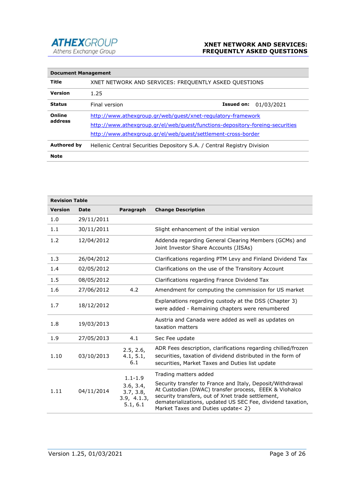

| <b>Document Management</b> |                                                                               |                   |            |
|----------------------------|-------------------------------------------------------------------------------|-------------------|------------|
| Title                      | XNET NETWORK AND SERVICES: FREQUENTLY ASKED QUESTIONS                         |                   |            |
| Version                    | 1.25                                                                          |                   |            |
| <b>Status</b>              | Final version                                                                 | <b>Issued on:</b> | 01/03/2021 |
| Online                     | http://www.athexgroup.gr/web/guest/xnet-regulatory-framework                  |                   |            |
| address                    | http://www.athexgroup.gr/el/web/guest/functions-depository-foreing-securities |                   |            |
|                            | http://www.athexgroup.gr/el/web/guest/settlement-cross-border                 |                   |            |
| <b>Authored by</b>         | Hellenic Central Securities Depository S.A. / Central Registry Division       |                   |            |
| <b>Note</b>                |                                                                               |                   |            |

| <b>Revision Table</b> |            |                                                   |                                                                                                                                                                                                                                                                             |
|-----------------------|------------|---------------------------------------------------|-----------------------------------------------------------------------------------------------------------------------------------------------------------------------------------------------------------------------------------------------------------------------------|
| <b>Version</b>        | Date       | Paragraph                                         | <b>Change Description</b>                                                                                                                                                                                                                                                   |
| 1.0                   | 29/11/2011 |                                                   |                                                                                                                                                                                                                                                                             |
| 1.1                   | 30/11/2011 |                                                   | Slight enhancement of the initial version                                                                                                                                                                                                                                   |
| 1.2                   | 12/04/2012 |                                                   | Addenda regarding General Clearing Members (GCMs) and<br>Joint Investor Share Accounts (JISAs)                                                                                                                                                                              |
| 1.3                   | 26/04/2012 |                                                   | Clarifications regarding PTM Levy and Finland Dividend Tax                                                                                                                                                                                                                  |
| 1.4                   | 02/05/2012 |                                                   | Clarifications on the use of the Transitory Account                                                                                                                                                                                                                         |
| 1.5                   | 08/05/2012 |                                                   | Clarifications regarding France Dividend Tax                                                                                                                                                                                                                                |
| 1.6                   | 27/06/2012 | 4.2                                               | Amendment for computing the commission for US market                                                                                                                                                                                                                        |
| 1.7                   | 18/12/2012 |                                                   | Explanations regarding custody at the DSS (Chapter 3)<br>were added - Remaining chapters were renumbered                                                                                                                                                                    |
| 1.8                   | 19/03/2013 |                                                   | Austria and Canada were added as well as updates on<br>taxation matters                                                                                                                                                                                                     |
| 1.9                   | 27/05/2013 | 4.1                                               | Sec Fee update                                                                                                                                                                                                                                                              |
| 1.10                  | 03/10/2013 | 2.5, 2.6,<br>4.1, 5.1,<br>6.1                     | ADR Fees description, clarifications regarding chilled/frozen<br>securities, taxation of dividend distributed in the form of<br>securities, Market Taxes and Duties list update                                                                                             |
|                       |            | $1.1 - 1.9$                                       | Trading matters added                                                                                                                                                                                                                                                       |
| 1.11                  | 04/11/2014 | 3.6, 3.4,<br>3.7, 3.8,<br>3.9, 4.1.3,<br>5.1, 6.1 | Security transfer to France and Italy, Deposit/Withdrawal<br>At Custodian (DWAC) transfer process, EEEK & Viohalco<br>security transfers, out of Xnet trade settlement,<br>dematerializations, updated US SEC Fee, dividend taxation,<br>Market Taxes and Duties update< 2} |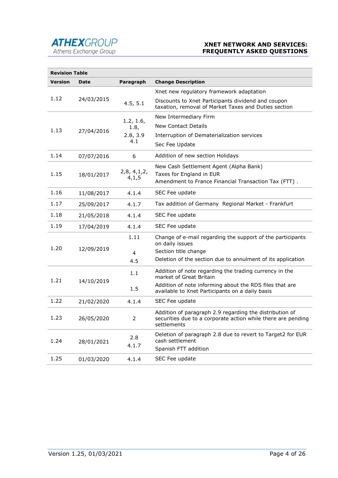

## XNET NETWORK AND SERVICES: FREQUENTLY ASKED QUESTIONS

| <b>Revision Table</b> |             |                         |                                                                                                                                        |
|-----------------------|-------------|-------------------------|----------------------------------------------------------------------------------------------------------------------------------------|
| Version               | <b>Date</b> | Paragraph               | <b>Change Description</b>                                                                                                              |
|                       |             |                         | Xnet new regulatory framework adaptation                                                                                               |
| 1.12                  | 24/03/2015  | 4.5, 5.1                | Discounts to Xnet Participants dividend and coupon<br>taxation, removal of Market Taxes and Duties section                             |
|                       | 27/04/2016  | 1.2, 1.6,               | New Intermediary Firm                                                                                                                  |
| 1.13                  |             | 1.8,<br>2.8, 3.9<br>4.1 | <b>New Contact Details</b>                                                                                                             |
|                       |             |                         | Interruption of Dematerialization services                                                                                             |
|                       |             |                         | Sec Fee Update                                                                                                                         |
| 1.14                  | 07/07/2016  | 6                       | Addition of new section Holidays                                                                                                       |
|                       |             |                         | New Cash Settlement Agent (Alpha Bank)                                                                                                 |
| 1.15                  | 18/01/2017  | 2,8,4,1,2,<br>4,1,5     | Taxes for England in EUR                                                                                                               |
|                       |             |                         | Amendment to France Financial Transaction Tax (FTT).                                                                                   |
| 1.16                  | 11/08/2017  | 4.1.4                   | SEC Fee update                                                                                                                         |
| 1.17                  | 25/09/2017  | 4.1.7                   | Tax addition of Germany Regional Market - Frankfurt                                                                                    |
| 1.18                  | 21/05/2018  | 4.1.4                   | SEC Fee update                                                                                                                         |
| 1.19                  | 17/04/2019  | 4.1.4                   | SEC Fee update                                                                                                                         |
|                       |             | 1.11                    | Change of e-mail regarding the support of the participants<br>on daily issues                                                          |
| 1.20                  | 12/09/2019  | 4                       | Section title change                                                                                                                   |
|                       |             | 4.5                     | Deletion of the section due to annulment of its application                                                                            |
| 1.21                  | 14/10/2019  | 1.1                     | Addition of note regarding the trading currency in the<br>market of Great Britain                                                      |
|                       |             | 1.5                     | Addition of note informing about the RDS files that are<br>available to Xnet Participants on a daily basis                             |
| 1.22                  | 21/02/2020  | 4.1.4                   | SEC Fee update                                                                                                                         |
| 1.23                  | 26/05/2020  | 2                       | Addition of paragraph 2.9 regarding the distribution of<br>securities due to a corporate action while there are pending<br>settlements |
| 1.24                  | 28/01/2021  | 2.8<br>4.1.7            | Deletion of paragraph 2.8 due to revert to Target2 for EUR<br>cash settlement<br>Spanish FTT addition                                  |
| 1.25                  | 01/03/2020  | 4.1.4                   | SEC Fee update                                                                                                                         |
|                       |             |                         |                                                                                                                                        |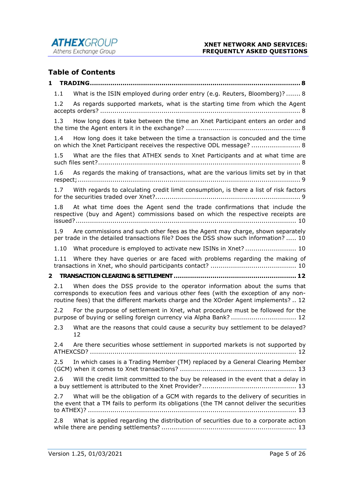



# Table of Contents

| 1 |               |                                                                                                                                                                                                                                                           |
|---|---------------|-----------------------------------------------------------------------------------------------------------------------------------------------------------------------------------------------------------------------------------------------------------|
|   | 1.1           | What is the ISIN employed during order entry (e.g. Reuters, Bloomberg)?  8                                                                                                                                                                                |
|   | 1.2           | As regards supported markets, what is the starting time from which the Agent                                                                                                                                                                              |
|   | 1.3           | How long does it take between the time an Xnet Participant enters an order and                                                                                                                                                                            |
|   | 1.4           | How long does it take between the time a transaction is concuded and the time<br>on which the Xnet Participant receives the respective ODL message?  8                                                                                                    |
|   | $1.5^{\circ}$ | What are the files that ATHEX sends to Xnet Participants and at what time are                                                                                                                                                                             |
|   | 1.6           | As regards the making of transactions, what are the various limits set by in that                                                                                                                                                                         |
|   | 1.7           | With regards to calculating credit limit consumption, is there a list of risk factors                                                                                                                                                                     |
|   | 1.8           | At what time does the Agent send the trade confirmations that include the<br>respective (buy and Agent) commissions based on which the respective receipts are                                                                                            |
|   | 1.9           | Are commissions and such other fees as the Agent may charge, shown separately<br>per trade in the detailed transactions file? Does the DSS show such information?  10                                                                                     |
|   |               |                                                                                                                                                                                                                                                           |
|   |               |                                                                                                                                                                                                                                                           |
|   |               | 1.11 Where they have queries or are faced with problems regarding the making of                                                                                                                                                                           |
| 2 |               |                                                                                                                                                                                                                                                           |
|   | 2.1           | When does the DSS provide to the operator information about the sums that<br>corresponds to execution fees and various other fees (with the exception of any non-<br>routine fees) that the different markets charge and the XOrder Agent implements?  12 |
|   | 2.2           | For the purpose of settlement in Xnet, what procedure must be followed for the<br>purpose of buying or selling foreign currency via Alpha Bank?  12                                                                                                       |
|   | 2.3           | What are the reasons that could cause a security buy settlement to be delayed?<br>12                                                                                                                                                                      |
|   | 2.4           | Are there securities whose settlement in supported markets is not supported by                                                                                                                                                                            |
|   | 2.5           | In which cases is a Trading Member (TM) replaced by a General Clearing Member                                                                                                                                                                             |
|   | 2.6           | Will the credit limit committed to the buy be released in the event that a delay in                                                                                                                                                                       |
|   | 2.7           | What will be the obligation of a GCM with regards to the delivery of securities in<br>the event that a TM fails to perform its obligations (the TM cannot deliver the securities<br>to ATHEX)? …………………………………………………………………………………………… 13                     |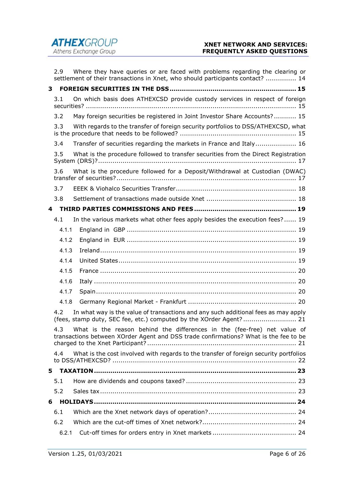|    | 2.9   | Where they have queries or are faced with problems regarding the clearing or<br>settlement of their transactions in Xnet, who should participants contact?  14   |
|----|-------|------------------------------------------------------------------------------------------------------------------------------------------------------------------|
| 3  |       |                                                                                                                                                                  |
|    | 3.1   | On which basis does ATHEXCSD provide custody services in respect of foreign                                                                                      |
|    | 3.2   | May foreign securities be registered in Joint Investor Share Accounts? 15                                                                                        |
|    | 3.3   | With regards to the transfer of foreign security portfolios to DSS/ATHEXCSD, what                                                                                |
|    | 3.4   | Transfer of securities regarding the markets in France and Italy 16                                                                                              |
|    | 3.5   | What is the procedure followed to transfer securities from the Direct Registration                                                                               |
|    | 3.6   | What is the procedure followed for a Deposit/Withdrawal at Custodian (DWAC)                                                                                      |
|    | 3.7   |                                                                                                                                                                  |
|    | 3.8   |                                                                                                                                                                  |
| 4  |       |                                                                                                                                                                  |
|    | 4.1   | In the various markets what other fees apply besides the execution fees? 19                                                                                      |
|    | 4.1.1 |                                                                                                                                                                  |
|    | 4.1.2 |                                                                                                                                                                  |
|    | 4.1.3 |                                                                                                                                                                  |
|    | 4.1.4 |                                                                                                                                                                  |
|    | 4.1.5 |                                                                                                                                                                  |
|    | 4.1.6 |                                                                                                                                                                  |
|    | 4.1.7 |                                                                                                                                                                  |
|    | 4.1.8 |                                                                                                                                                                  |
|    | 4.2   | In what way is the value of transactions and any such additional fees as may apply<br>(fees, stamp duty, SEC fee, etc.) computed by the XOrder Agent? 21         |
|    | 4.3   | What is the reason behind the differences in the (fee-free) net value of<br>transactions between XOrder Agent and DSS trade confirmations? What is the fee to be |
|    | 4.4   | What is the cost involved with regards to the transfer of foreign security portfolios                                                                            |
| 5. |       |                                                                                                                                                                  |
|    | 5.1   |                                                                                                                                                                  |
|    | 5.2   |                                                                                                                                                                  |
| 6  |       |                                                                                                                                                                  |
|    | 6.1   |                                                                                                                                                                  |
|    | 6.2   |                                                                                                                                                                  |
|    | 6.2.1 |                                                                                                                                                                  |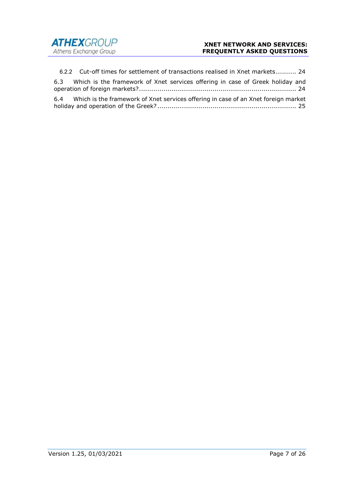

6.2.2 Cut-off times for settlement of transactions realised in Xnet markets .......... 24 6.3 Which is the framework of Xnet services offering in case of Greek holiday and operation of foreign markets? ............................................................................. 24 6.4 Which is the framework of Xnet services offering in case of an Xnet foreign market holiday and operation of the Greek? .................................................................... 25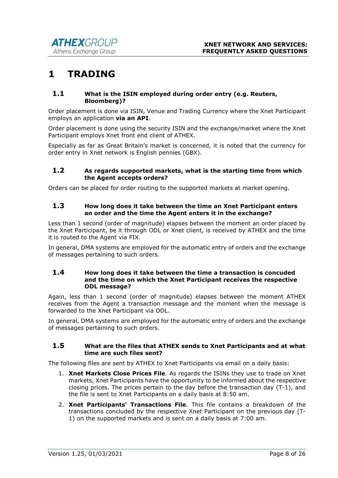# 1 TRADING

#### 1.1 What is the ISIN employed during order entry (e.g. Reuters, Bloomberg)?

Order placement is done via ISIN, Venue and Trading Currency where the Xnet Participant employs an application via an API.

Order placement is done using the security ISIN and the exchange/market where the Xnet Participant employs Xnet front end client of ATHEX.

Especially as far as Great Britain's market is concerned, it is noted that the currency for order entry in Xnet network is English pennies (GBX).

#### 1.2 As regards supported markets, what is the starting time from which the Agent accepts orders?

Orders can be placed for order routing to the supported markets at market opening.

### 1.3 How long does it take between the time an Xnet Participant enters an order and the time the Agent enters it in the exchange?

Less than 1 second (order of magnitude) elapses between the moment an order placed by the Xnet Participant, be it through ODL or Xnet client, is received by ATHEX and the time it is routed to the Agent via FIX.

In general, DMA systems are employed for the automatic entry of orders and the exchange of messages pertaining to such orders.

#### 1.4 How long does it take between the time a transaction is concuded and the time on which the Xnet Participant receives the respective ODL message?

Again, less than 1 second (order of magnitude) elapses between the moment ATHEX receives from the Agent a transaction message and the moment when the message is forwarded to the Xnet Participant via ODL.

In general, DMA systems are employed for the automatic entry of orders and the exchange of messages pertaining to such orders.

#### 1.5 What are the files that ATHEX sends to Xnet Participants and at what time are such files sent?

The following files are sent by ATHEX to Xnet Participants via email on a daily basis:

- 1. Xnet Markets Close Prices File. As regards the ISINs they use to trade on Xnet markets, Xnet Participants have the opportunity to be informed about the respective closing prices. The prices pertain to the day before the transaction day (T-1), and the file is sent to Xnet Participants on a daily basis at 8:50 am.
- 2. Xnet Participants' Transactions File. This file contains a breakdown of the transactions concluded by the respective Xnet Participant on the previous day (T-1) on the supported markets and is sent on a daily basis at 7:00 am.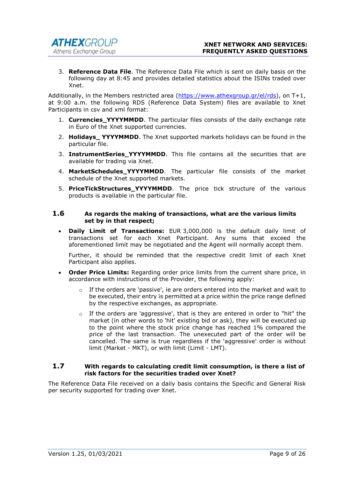3. Reference Data File. The Reference Data File which is sent on daily basis on the following day at 8:45 and provides detailed statistics about the ISINs traded over Xnet.

Additionally, in the Members restricted area (https://www.athexgroup.gr/el/rds), on T+1, at 9:00 a.m. the following RDS (Reference Data System) files are available to Xnet Participants in csv and xml format:

- 1. Currencies\_YYYYMMDD. The particular files consists of the daily exchange rate in Euro of the Xnet supported currencies.
- 2. Holidays\_YYYYMMDD. The Xnet supported markets holidays can be found in the particular file.
- 3. InstrumentSeries YYYYMMDD. This file contains all the securities that are available for trading via Xnet.
- 4. MarketSchedules\_YYYYMMDD. The particular file consists of the market schedule of the Xnet supported markets.
- 5. PriceTickStructures\_YYYYMMDD. The price tick structure of the various products is available in the particular file.

#### 1.6 As regards the making of transactions, what are the various limits set by in that respect;

 Daily Limit of Transactions: EUR 3,000,000 is the default daily limit of transactions set for each Xnet Participant. Any sums that exceed the aforementioned limit may be negotiated and the Agent will normally accept them.

Further, it should be reminded that the respective credit limit of each Xnet Participant also applies.

- Order Price Limits: Regarding order price limits from the current share price, in accordance with instructions of the Provider, the following apply:
	- $\circ$  If the orders are 'passive', ie are orders entered into the market and wait to be executed, their entry is permitted at a price within the price range defined by the respective exchanges, as appropriate.
	- $\circ$  If the orders are 'aggressive', that is they are entered in order to "hit" the market (in other words to 'hit' existing bid or ask), they will be executed up to the point where the stock price change has reached 1% compared the price of the last transaction. The unexecuted part of the order will be cancelled. The same is true regardless if the 'aggressive' order is without limit (Market - MKT), or with limit (Limit - LMT).

#### 1.7 With regards to calculating credit limit consumption, is there a list of risk factors for the securities traded over Xnet?

The Reference Data File received on a daily basis contains the Specific and General Risk per security supported for trading over Xnet.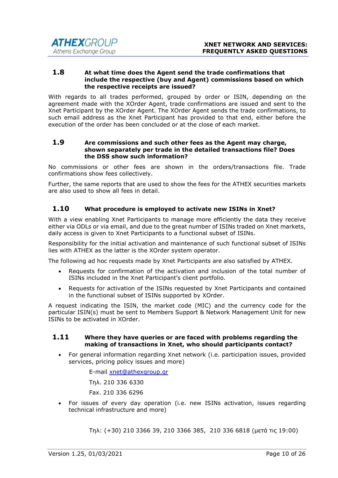#### 1.8 At what time does the Agent send the trade confirmations that include the respective (buy and Agent) commissions based on which the respective receipts are issued?

With regards to all trades performed, grouped by order or ISIN, depending on the agreement made with the XOrder Agent, trade confirmations are issued and sent to the Xnet Participant by the XOrder Agent. The XOrder Agent sends the trade confirmations, to such email address as the Xnet Participant has provided to that end, either before the execution of the order has been concluded or at the close of each market.

#### 1.9 Are commissions and such other fees as the Agent may charge, shown separately per trade in the detailed transactions file? Does the DSS show such information?

No commissions or other fees are shown in the orders/transactions file. Trade confirmations show fees collectively.

Further, the same reports that are used to show the fees for the ATHEX securities markets are also used to show all fees in detail.

# 1.10 What procedure is employed to activate new ISINs in Xnet?

With a view enabling Xnet Participants to manage more efficiently the data they receive either via ODLs or via email, and due to the great number of ISINs traded on Xnet markets, daily access is given to Xnet Participants to a functional subset of ISINs.

Responsibility for the initial activation and maintenance of such functional subset of ISINs lies with ATHEX as the latter is the XOrder system operator.

The following ad hoc requests made by Xnet Participants are also satisfied by ATHEX.

- Requests for confirmation of the activation and inclusion of the total number of ISINs included in the Xnet Participant's client portfolio.
- Requests for activation of the ISINs requested by Xnet Participants and contained in the functional subset of ISINs supported by XOrder.

A request indicating the ISIN, the market code (MIC) and the currency code for the particular ISIN(s) must be sent to Members Support & Network Management Unit for new ISINs to be activated in XOrder.

#### 1.11 Where they have queries or are faced with problems regarding the making of transactions in Xnet, who should participants contact?

 For general information regarding Xnet network (i.e. participation issues, provided services, pricing policy issues and more)

E-mail xnet@athexgroup.gr

Τηλ. 210 336 6330

Fax. 210 336 6296

 For issues of every day operation (i.e. new ISINs activation, issues regarding technical infrastructure and more)

Τηλ: (+30) 210 3366 39, 210 3366 385, 210 336 6818 (μετά τις 19:00)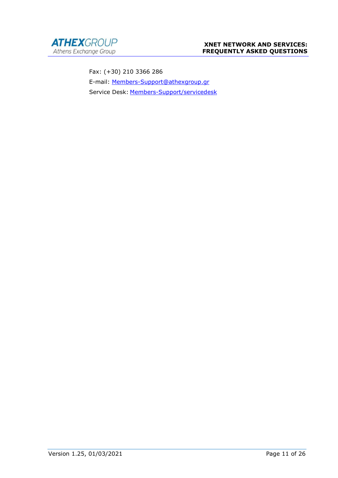

Fax: (+30) 210 3366 286 E-mail: Members-Support@athexgroup.gr Service Desk: Members-Support/servicedesk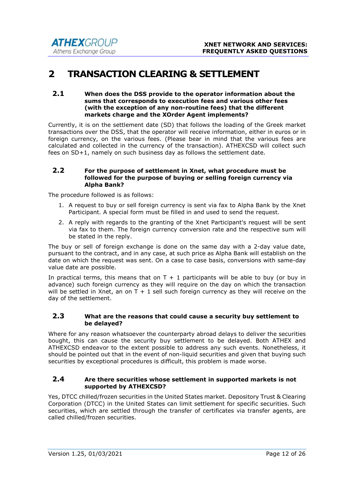# 2 TRANSACTION CLEARING & SETTLEMENT

#### 2.1 When does the DSS provide to the operator information about the sums that corresponds to execution fees and various other fees (with the exception of any non-routine fees) that the different markets charge and the XOrder Agent implements?

Currently, it is on the settlement date (SD) that follows the loading of the Greek market transactions over the DSS, that the operator will receive information, either in euros or in foreign currency, on the various fees. (Please bear in mind that the various fees are calculated and collected in the currency of the transaction). ATHEXCSD will collect such fees on SD+1, namely on such business day as follows the settlement date.

#### 2.2 For the purpose of settlement in Xnet, what procedure must be followed for the purpose of buying or selling foreign currency via Alpha Bank?

The procedure followed is as follows:

- 1. A request to buy or sell foreign currency is sent via fax to Alpha Bank by the Xnet Participant. A special form must be filled in and used to send the request.
- 2. A reply with regards to the granting of the Xnet Participant's request will be sent via fax to them. The foreign currency conversion rate and the respective sum will be stated in the reply.

The buy or sell of foreign exchange is done on the same day with a 2-day value date, pursuant to the contract, and in any case, at such price as Alpha Bank will establish on the date on which the request was sent. On a case to case basis, conversions with same-day value date are possible.

In practical terms, this means that on  $T + 1$  participants will be able to buy (or buy in advance) such foreign currency as they will require on the day on which the transaction will be settled in Xnet, an on  $T + 1$  sell such foreign currency as they will receive on the day of the settlement.

#### 2.3 What are the reasons that could cause a security buy settlement to be delayed?

Where for any reason whatsoever the counterparty abroad delays to deliver the securities bought, this can cause the security buy settlement to be delayed. Both ATHEX and ATHEXCSD endeavor to the extent possible to address any such events. Nonetheless, it should be pointed out that in the event of non-liquid securities and given that buying such securities by exceptional procedures is difficult, this problem is made worse.

#### 2.4 Are there securities whose settlement in supported markets is not supported by ATHEXCSD?

Yes, DTCC chilled/frozen securities in the United States market. Depository Trust & Clearing Corporation (DTCC) in the United States can limit settlement for specific securities. Such securities, which are settled through the transfer of certificates via transfer agents, are called chilled/frozen securities.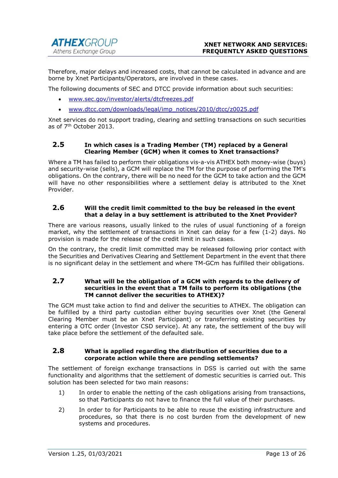Therefore, major delays and increased costs, that cannot be calculated in advance and are borne by Xnet Participants/Operators, are involved in these cases.

The following documents of SEC and DTCC provide information about such securities:

- www.sec.gov/investor/alerts/dtcfreezes.pdf
- www.dtcc.com/downloads/legal/imp\_notices/2010/dtcc/z0025.pdf

Xnet services do not support trading, clearing and settling transactions on such securities as of 7th October 2013.

#### 2.5 In which cases is a Trading Member (TM) replaced by a General Clearing Member (GCM) when it comes to Xnet transactions?

Where a TM has failed to perform their obligations vis-a-vis ATHEX both money-wise (buys) and security-wise (sells), a GCM will replace the TM for the purpose of performing the TM's obligations. On the contrary, there will be no need for the GCM to take action and the GCM will have no other responsibilities where a settlement delay is attributed to the Xnet Provider.

#### 2.6 Will the credit limit committed to the buy be released in the event that a delay in a buy settlement is attributed to the Xnet Provider?

There are various reasons, usually linked to the rules of usual functioning of a foreign market, why the settlement of transactions in Xnet can delay for a few (1-2) days. No provision is made for the release of the credit limit in such cases.

On the contrary, the credit limit committed may be released following prior contact with the Securities and Derivatives Clearing and Settlement Department in the event that there is no significant delay in the settlement and where TM-GCm has fulfilled their obligations.

#### 2.7 What will be the obligation of a GCM with regards to the delivery of securities in the event that a TM fails to perform its obligations (the TM cannot deliver the securities to ATHEX)?

The GCM must take action to find and deliver the securities to ATHEX. The obligation can be fulfilled by a third party custodian either buying securities over Xnet (the General Clearing Member must be an Xnet Participant) or transferring existing securities by entering a OTC order (Investor CSD service). At any rate, the settlement of the buy will take place before the settlement of the defaulted sale.

#### 2.8 What is applied regarding the distribution of securities due to a corporate action while there are pending settlements?

The settlement of foreign exchange transactions in DSS is carried out with the same functionality and algorithms that the settlement of domestic securities is carried out. This solution has been selected for two main reasons:

- 1) In order to enable the netting of the cash obligations arising from transactions, so that Participants do not have to finance the full value of their purchases.
- 2) In order to for Participants to be able to reuse the existing infrastructure and procedures, so that there is no cost burden from the development of new systems and procedures.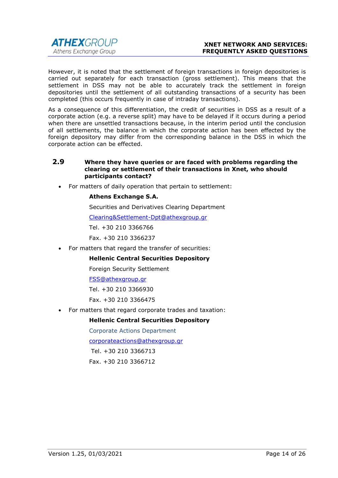

However, it is noted that the settlement of foreign transactions in foreign depositories is carried out separately for each transaction (gross settlement). This means that the settlement in DSS may not be able to accurately track the settlement in foreign depositories until the settlement of all outstanding transactions of a security has been completed (this occurs frequently in case of intraday transactions).

As a consequence of this differentiation, the credit of securities in DSS as a result of a corporate action (e.g. a reverse split) may have to be delayed if it occurs during a period when there are unsettled transactions because, in the interim period until the conclusion of all settlements, the balance in which the corporate action has been effected by the foreign depository may differ from the corresponding balance in the DSS in which the corporate action can be effected.

#### 2.9 Where they have queries or are faced with problems regarding the clearing or settlement of their transactions in Xnet, who should participants contact?

For matters of daily operation that pertain to settlement:

#### Athens Exchange S.A.

Securities and Derivatives Clearing Department

Clearing&Settlement-Dpt@athexgroup.gr

Tel. +30 210 3366766

Fax. +30 210 3366237

• For matters that regard the transfer of securities:

#### Hellenic Central Securities Depository

Foreign Security Settlement

#### FSS@athexgroup.gr

Tel. +30 210 3366930

Fax. +30 210 3366475

For matters that regard corporate trades and taxation:

#### Hellenic Central Securities Depository

Corporate Actions Department

corporateactions@athexgroup.gr

Tel. +30 210 3366713

Fax. +30 210 3366712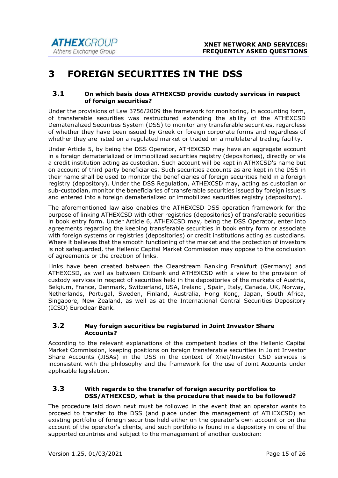# 3 FOREIGN SECURITIES IN THE DSS

#### 3.1 On which basis does ATHEXCSD provide custody services in respect of foreign securities?

Under the provisions of Law 3756/2009 the framework for monitoring, in accounting form, of transferable securities was restructured extending the ability of the ATHEXCSD Dematerialized Securities System (DSS) to monitor any transferable securities, regardless of whether they have been issued by Greek or foreign corporate forms and regardless of whether they are listed on a regulated market or traded on a multilateral trading facility.

Under Article 5, by being the DSS Operator, ATHEXCSD may have an aggregate account in a foreign dematerialized or immobilized securities registry (depositories), directly or via a credit institution acting as custodian. Such account will be kept in ATHXCSD's name but on account of third party beneficiaries. Such securities accounts as are kept in the DSS in their name shall be used to monitor the beneficiaries of foreign securities held in a foreign registry (depository). Under the DSS Regulation, ATHEXCSD may, acting as custodian or sub-custodian, monitor the beneficiaries of transferable securities issued by foreign issuers and entered into a foreign dematerialized or immobilized securities registry (depository).

The aforementioned law also enables the ATHEXCSD DSS operation framework for the purpose of linking ATHEXCSD with other registries (depositories) of transferable securities in book entry form. Under Article 6, ATHEXCSD may, being the DSS Operator, enter into agreements regarding the keeping transferable securities in book entry form or associate with foreign systems or registries (depositories) or credit institutions acting as custodians. Where it believes that the smooth functioning of the market and the protection of investors is not safeguarded, the Hellenic Capital Market Commission may oppose to the conclusion of agreements or the creation of links.

Links have been created between the Clearstream Banking Frankfurt (Germany) and ATHEXCSD, as well as between Citibank and ATHEXCSD with a view to the provision of custody services in respect of securities held in the depositories of the markets of Austria, Belgium, France, Denmark, Switzerland, USA, Ireland , Spain, Italy, Canada, UK, Norway, Netherlands, Portugal, Sweden, Finland, Australia, Hong Kong, Japan, South Africa, Singapore, New Zealand, as well as at the International Central Securities Depository (ICSD) Euroclear Bank.

#### 3.2 May foreign securities be registered in Joint Investor Share Accounts?

According to the relevant explanations of the competent bodies of the Hellenic Capital Market Commission, keeping positions on foreign transferable securities in Joint Investor Share Accounts (JISAs) in the DSS in the context of Xnet/Investor CSD services is inconsistent with the philosophy and the framework for the use of Joint Accounts under applicable legislation.

#### 3.3 With regards to the transfer of foreign security portfolios to DSS/ATHEXCSD, what is the procedure that needs to be followed?

The procedure laid down next must be followed in the event that an operator wants to proceed to transfer to the DSS (and place under the management of ATHEXCSD) an existing portfolio of foreign securities held either on the operator's own account or on the account of the operator's clients, and such portfolio is found in a depository in one of the supported countries and subject to the management of another custodian: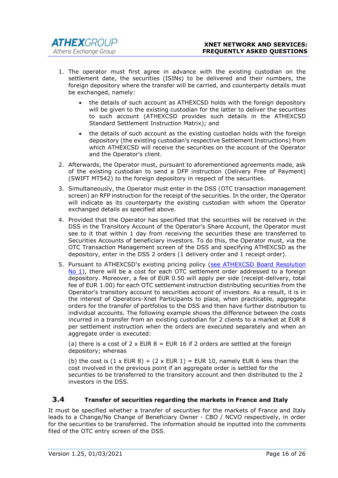- 1. The operator must first agree in advance with the existing custodian on the settlement date, the securities (ISINs) to be delivered and their numbers, the foreign depository where the transfer will be carried, and counterparty details must be exchanged, namely:
	- the details of such account as ATHEXCSD holds with the foreign depository will be given to the existing custodian for the latter to deliver the securities to such account (ATHEXCSD provides such details in the ATHEXCSD Standard Settlement Instruction Matrix); and
	- the details of such account as the existing custodian holds with the foreign depository (the existing custodian's respective Settlement Instructions) from which ATHEXCSD will receive the securities on the account of the Operator and the Operator's client.
- 2. Afterwards, the Operator must, pursuant to aforementioned agreements made, ask of the existing custodian to send a DFP instruction (Delivery Free of Payment) (SWIFT MT542) to the foreign depository in respect of the securities.
- 3. Simultaneously, the Operator must enter in the DSS (OTC transaction management screen) an RFP instruction for the receipt of the securities. In the order, the Operator will indicate as its counterparty the existing custodian with whom the Operator exchanged details as specified above.
- 4. Provided that the Operator has specified that the securities will be received in the DSS in the Transitory Account of the Operator's Share Account, the Operator must see to it that within 1 day from receiving the securities these are transferred to Securities Accounts of beneficiary investors. To do this, the Operator must, via the OTC Transaction Management screen of the DSS and specifying ATHEXCSD as the depository, enter in the DSS 2 orders (1 delivery order and 1 receipt order).
- 5. Pursuant to ATHEXCSD's existing pricing policy (see ATHEXCSD Board Resolution No 1), there will be a cost for each OTC settlement order addressed to a foreign depository. Moreover, a fee of EUR 0.50 will apply per side (receipt-delivery, total fee of EUR 1.00) for each OTC settlement instruction distributing securities from the Operator's transitory account to securities account of investors. As a result, it is in the interest of Operators-Xnet Participants to place, when practicable, aggregate orders for the transfer of portfolios to the DSS and then have further distribution to individual accounts. The following example shows the difference between the costs incurred in a transfer from an existing custodian for 2 clients to a market at EUR 8 per settlement instruction when the orders are executed separately and when an aggregate order is executed:

(a) there is a cost of 2  $\times$  EUR 8 = EUR 16 if 2 orders are settled at the foreign depository; whereas

(b) the cost is  $(1 \times$  EUR 8) +  $(2 \times$  EUR 1) = EUR 10, namely EUR 6 less than the cost involved in the previous point if an aggregate order is settled for the securities to be transferred to the transitory account and then distributed to the 2 investors in the DSS.

# 3.4 Transfer of securities regarding the markets in France and Italy

It must be specified whether a transfer of securities for the markets of France and Italy leads to a Change/No Change of Beneficiary Owner - CBO / NCVO respectively, in order for the securities to be transferred. The information should be inputted into the comments filed of the OTC entry screen of the DSS.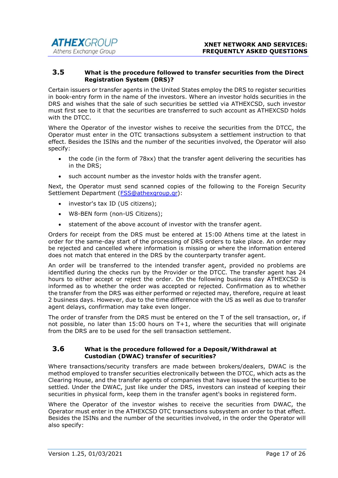#### 3.5 What is the procedure followed to transfer securities from the Direct Registration System (DRS)?

Certain issuers or transfer agents in the United States employ the DRS to register securities in book-entry form in the name of the investors. Where an investor holds securities in the DRS and wishes that the sale of such securities be settled via ATHEXCSD, such investor must first see to it that the securities are transferred to such account as ATHEXCSD holds with the DTCC.

Where the Operator of the investor wishes to receive the securities from the DTCC, the Operator must enter in the OTC transactions subsystem a settlement instruction to that effect. Besides the ISINs and the number of the securities involved, the Operator will also specify:

- the code (in the form of 78xx) that the transfer agent delivering the securities has in the DRS;
- such account number as the investor holds with the transfer agent.

Next, the Operator must send scanned copies of the following to the Foreign Security Settlement Department (FSS@athexgroup.gr):

- investor's tax ID (US citizens);
- W8-BEN form (non-US Citizens);
- statement of the above account of investor with the transfer agent.

Orders for receipt from the DRS must be entered at 15:00 Athens time at the latest in order for the same-day start of the processing of DRS orders to take place. An order may be rejected and cancelled where information is missing or where the information entered does not match that entered in the DRS by the counterparty transfer agent.

An order will be transferred to the intended transfer agent, provided no problems are identified during the checks run by the Provider or the DTCC. The transfer agent has 24 hours to either accept or reject the order. On the following business day ATHEXCSD is informed as to whether the order was accepted or rejected. Confirmation as to whether the transfer from the DRS was either performed or rejected may, therefore, require at least 2 business days. However, due to the time difference with the US as well as due to transfer agent delays, confirmation may take even longer.

The order of transfer from the DRS must be entered on the T of the sell transaction, or, if not possible, no later than 15:00 hours on T+1, where the securities that will originate from the DRS are to be used for the sell transaction settlement.

#### 3.6 What is the procedure followed for a Deposit/Withdrawal at Custodian (DWAC) transfer of securities?

Where transactions/security transfers are made between brokers/dealers, DWAC is the method employed to transfer securities electronically between the DTCC, which acts as the Clearing House, and the transfer agents of companies that have issued the securities to be settled. Under the DWAC, just like under the DRS, investors can instead of keeping their securities in physical form, keep them in the transfer agent's books in registered form.

Where the Operator of the investor wishes to receive the securities from DWAC, the Operator must enter in the ATHEXCSD OTC transactions subsystem an order to that effect. Besides the ISINs and the number of the securities involved, in the order the Operator will also specify: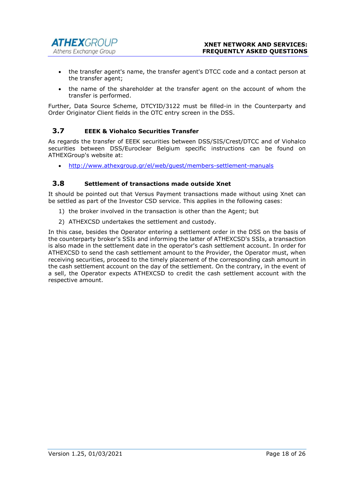- the transfer agent's name, the transfer agent's DTCC code and a contact person at the transfer agent;
- the name of the shareholder at the transfer agent on the account of whom the transfer is performed.

Further, Data Source Scheme, DTCYID/3122 must be filled-in in the Counterparty and Order Originator Client fields in the OTC entry screen in the DSS.

# 3.7 EEEK & Viohalco Securities Transfer

As regards the transfer of EEEK securities between DSS/SIS/Crest/DTCC and of Viohalco securities between DSS/Euroclear Belgium specific instructions can be found on ATHEXGroup's website at:

http://www.athexgroup.gr/el/web/guest/members-settlement-manuals

## 3.8 Settlement of transactions made outside Xnet

It should be pointed out that Versus Payment transactions made without using Xnet can be settled as part of the Investor CSD service. This applies in the following cases:

- 1) the broker involved in the transaction is other than the Agent; but
- 2) ATHEXCSD undertakes the settlement and custody.

In this case, besides the Operator entering a settlement order in the DSS on the basis of the counterparty broker's SSIs and informing the latter of ATHEXCSD's SSIs, a transaction is also made in the settlement date in the operator's cash settlement account. In order for ATHEXCSD to send the cash settlement amount to the Provider, the Operator must, when receiving securities, proceed to the timely placement of the corresponding cash amount in the cash settlement account on the day of the settlement. On the contrary, in the event of a sell, the Operator expects ATHEXCSD to credit the cash settlement account with the respective amount.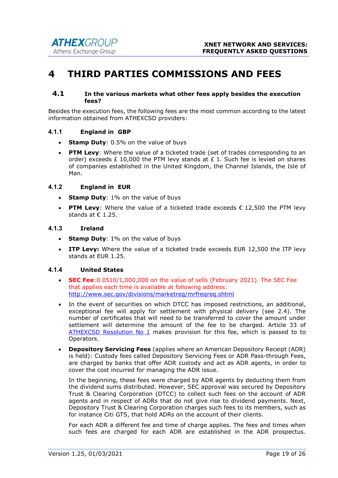# 4 THIRD PARTIES COMMISSIONS AND FEES

#### 4.1 In the various markets what other fees apply besides the execution fees?

Besides the execution fees, the following fees are the most common according to the latest information obtained from ATHEXCSD providers:

#### 4.1.1 England in GBP

- Stamp Duty: 0.5% on the value of buys
- PTM Levy: Where the value of a ticketed trade (set of trades corresponding to an order) exceeds £ 10,000 the PTM levy stands at £ 1. Such fee is levied on shares of companies established in the United Kingdom, the Channel Islands, the Isle of Man.

#### 4.1.2 England in EUR

- Stamp Duty:  $1\%$  on the value of buys
- PTM Levy: Where the value of a ticketed trade exceeds  $\epsilon$  12,500 the PTM levy stands at  $\epsilon$  1.25.

#### 4.1.3 Ireland

- Stamp Duty: 1% on the value of buys
- ITP Levy: Where the value of a ticketed trade exceeds EUR 12,500 the ITP levy stands at EUR 1.25.

#### 4.1.4 United States

- **SEC Fee:**  $0.0510/1,000,000$  on the value of sells (February 2021). The SEC Fee that applies each time is available at following address: http://www.sec.gov/divisions/marketreg/mrfreqreq.shtml
- In the event of securities on which DTCC has imposed restrictions, an additional, exceptional fee will apply for settlement with physical delivery (see 2.4). The number of certificates that will need to be transferred to cover the amount under settlement will determine the amount of the fee to be charged. Article 33 of ATHEXCSD Resolution No 1 makes provision for this fee, which is passed to to Operators.
- Depository Servicing Fees (applies where an American Depository Receipt (ADR) is held): Custody fees called Depository Servicing Fees or ADR Pass-through Fees, are charged by banks that offer ADR custody and act as ADR agents, in order to cover the cost incurred for managing the ADR issue.

In the beginning, these fees were charged by ADR agents by deducting them from the dividend sums distributed. However, SEC approval was secured by Depository Trust & Clearing Corporation (DTCC) to collect such fees on the account of ADR agents and in respect of ADRs that do not give rise to dividend payments. Next, Depository Trust & Clearing Corporation charges such fees to its members, such as for instance Citi GTS, that hold ADRs on the account of their clients.

For each ADR a different fee and time of charge applies. The fees and times when such fees are charged for each ADR are established in the ADR prospectus.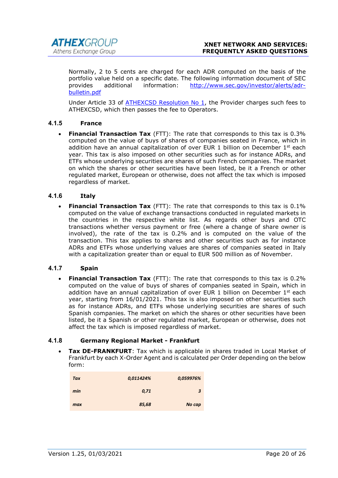Normally, 2 to 5 cents are charged for each ADR computed on the basis of the portfolio value held on a specific date. The following information document of SEC provides additional information: http://www.sec.gov/investor/alerts/adrbulletin.pdf

Under Article 33 of ATHEXCSD Resolution No 1, the Provider charges such fees to ATHEXCSD, which then passes the fee to Operators.

# 4.1.5 France

**Financial Transaction Tax** (FTT): The rate that corresponds to this tax is 0.3% computed on the value of buys of shares of companies seated in France, which in addition have an annual capitalization of over EUR 1 billion on December  $1^{st}$  each year. This tax is also imposed on other securities such as for instance ADRs, and ETFs whose underlying securities are shares of such French companies. The market on which the shares or other securities have been listed, be it a French or other regulated market, European or otherwise, does not affect the tax which is imposed regardless of market.

#### 4.1.6 Italy

**Financial Transaction Tax** (FTT): The rate that corresponds to this tax is  $0.1\%$ computed on the value of exchange transactions conducted in regulated markets in the countries in the respective white list. As regards other buys and OTC transactions whether versus payment or free (where a change of share owner is involved), the rate of the tax is 0.2% and is computed on the value of the transaction. This tax applies to shares and other securities such as for instance ADRs and ETFs whose underlying values are shares of companies seated in Italy with a capitalization greater than or equal to EUR 500 million as of November.

#### 4.1.7 Spain

**Financial Transaction Tax** (FTT): The rate that corresponds to this tax is 0.2% computed on the value of buys of shares of companies seated in Spain, which in addition have an annual capitalization of over EUR 1 billion on December  $1^{st}$  each year, starting from 16/01/2021. This tax is also imposed on other securities such as for instance ADRs, and ETFs whose underlying securities are shares of such Spanish companies. The market on which the shares or other securities have been listed, be it a Spanish or other regulated market, European or otherwise, does not affect the tax which is imposed regardless of market.

#### 4.1.8 Germany Regional Market - Frankfurt

 Tax DE-FRANKFURT: Tax which is applicable in shares traded in Local Market of Frankfurt by each X-Order Agent and is calculated per Order depending on the below form:

| <b>Tax</b> | 0,011424% | 0,059976% |
|------------|-----------|-----------|
| min        | 0,71      | 3         |
| max        | 85,68     | No cap    |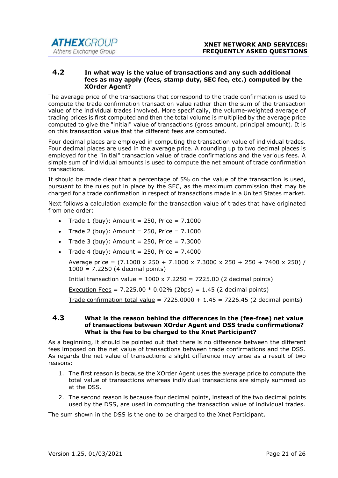#### 4.2 In what way is the value of transactions and any such additional fees as may apply (fees, stamp duty, SEC fee, etc.) computed by the XOrder Agent?

The average price of the transactions that correspond to the trade confirmation is used to compute the trade confirmation transaction value rather than the sum of the transaction value of the individual trades involved. More specifically, the volume-weighted average of trading prices is first computed and then the total volume is multiplied by the average price computed to give the "initial" value of transactions (gross amount, principal amount). It is on this transaction value that the different fees are computed.

Four decimal places are employed in computing the transaction value of individual trades. Four decimal places are used in the average price. A rounding up to two decimal places is employed for the "initial" transaction value of trade confirmations and the various fees. A simple sum of individual amounts is used to compute the net amount of trade confirmation transactions.

It should be made clear that a percentage of 5% on the value of the transaction is used, pursuant to the rules put in place by the SEC, as the maximum commission that may be charged for a trade confirmation in respect of transactions made in a United States market.

Next follows a calculation example for the transaction value of trades that have originated from one order:

- Trade 1 (buy): Amount =  $250$ , Price =  $7.1000$
- Trade 2 (buy): Amount = 250, Price =  $7.1000$
- Trade 3 (buy): Amount =  $250$ , Price =  $7.3000$
- Trade 4 (buy): Amount = 250, Price =  $7.4000$

Average price =  $(7.1000 \times 250 + 7.1000 \times 7.3000 \times 250 + 250 + 7400 \times 250)$  / 1000 = 7.2250 (4 decimal points)

Initial transaction value =  $1000 \times 7.2250 = 7225.00$  (2 decimal points)

Execution Fees =  $7.225.00 * 0.02%$  (2bps) = 1.45 (2 decimal points)

Trade confirmation total value =  $7225.0000 + 1.45 = 7226.45$  (2 decimal points)

#### 4.3 What is the reason behind the differences in the (fee-free) net value of transactions between XOrder Agent and DSS trade confirmations? What is the fee to be charged to the Xnet Participant?

As a beginning, it should be pointed out that there is no difference between the different fees imposed on the net value of transactions between trade confirmations and the DSS. As regards the net value of transactions a slight difference may arise as a result of two reasons:

- 1. The first reason is because the XOrder Agent uses the average price to compute the total value of transactions whereas individual transactions are simply summed up at the DSS.
- 2. The second reason is because four decimal points, instead of the two decimal points used by the DSS, are used in computing the transaction value of individual trades.

The sum shown in the DSS is the one to be charged to the Xnet Participant.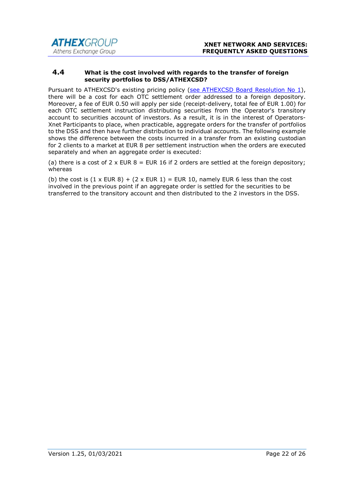#### 4.4 What is the cost involved with regards to the transfer of foreign security portfolios to DSS/ATHEXCSD?

Pursuant to ATHEXCSD's existing pricing policy (see ATHEXCSD Board Resolution No 1), there will be a cost for each OTC settlement order addressed to a foreign depository. Moreover, a fee of EUR 0.50 will apply per side (receipt-delivery, total fee of EUR 1.00) for each OTC settlement instruction distributing securities from the Operator's transitory account to securities account of investors. As a result, it is in the interest of Operators-Xnet Participants to place, when practicable, aggregate orders for the transfer of portfolios to the DSS and then have further distribution to individual accounts. The following example shows the difference between the costs incurred in a transfer from an existing custodian for 2 clients to a market at EUR 8 per settlement instruction when the orders are executed separately and when an aggregate order is executed:

(a) there is a cost of 2 x EUR  $8$  = EUR 16 if 2 orders are settled at the foreign depository; whereas

(b) the cost is  $(1 \times$  EUR 8) +  $(2 \times$  EUR 1) = EUR 10, namely EUR 6 less than the cost involved in the previous point if an aggregate order is settled for the securities to be transferred to the transitory account and then distributed to the 2 investors in the DSS.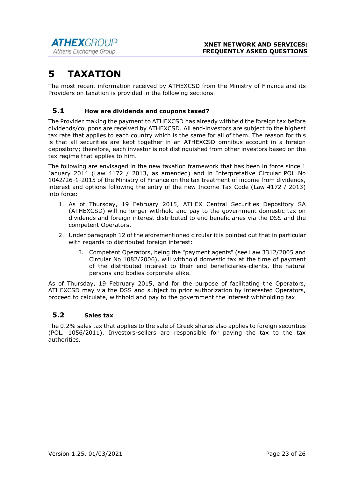# 5 TAXATION

The most recent information received by ATHEXCSD from the Ministry of Finance and its Providers on taxation is provided in the following sections.

# 5.1 How are dividends and coupons taxed?

The Provider making the payment to ATHEXCSD has already withheld the foreign tax before dividends/coupons are received by ATHEXCSD. All end-investors are subject to the highest tax rate that applies to each country which is the same for all of them. The reason for this is that all securities are kept together in an ATHEXCSD omnibus account in a foreign depository; therefore, each investor is not distinguished from other investors based on the tax regime that applies to him.

The following are envisaged in the new taxation framework that has been in force since 1 January 2014 (Law 4172 / 2013, as amended) and in Interpretative Circular POL No 1042/26-1-2015 of the Ministry of Finance on the tax treatment of income from dividends, interest and options following the entry of the new Income Tax Code (Law 4172 / 2013) into force:

- 1. As of Thursday, 19 February 2015, ATHEX Central Securities Depository SA (ATHEXCSD) will no longer withhold and pay to the government domestic tax on dividends and foreign interest distributed to end beneficiaries via the DSS and the competent Operators.
- 2. Under paragraph 12 of the aforementioned circular it is pointed out that in particular with regards to distributed foreign interest:
	- I. Competent Operators, being the "payment agents" (see Law 3312/2005 and Circular No 1082/2006), will withhold domestic tax at the time of payment of the distributed interest to their end beneficiaries-clients, the natural persons and bodies corporate alike.

As of Thursday, 19 February 2015, and for the purpose of facilitating the Operators, ATHEXCSD may via the DSS and subject to prior authorization by interested Operators, proceed to calculate, withhold and pay to the government the interest withholding tax.

# 5.2 Sales tax

The 0.2% sales tax that applies to the sale of Greek shares also applies to foreign securities (POL. 1056/2011). Investors-sellers are responsible for paying the tax to the tax authorities.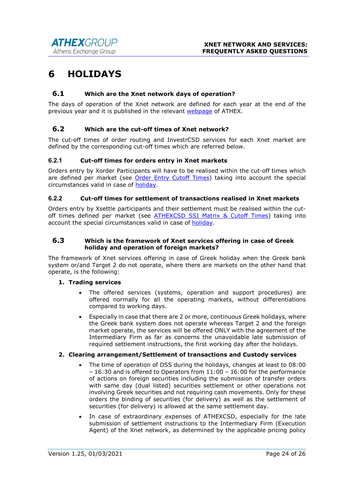# 6 HOLIDAYS

## 6.1 Which are the Xnet network days of operation?

The days of operation of the Xnet network are defined for each year at the end of the previous year and it is published in the relevant webpage of ATHEX.

## 6.2 Which are the cut-off times of Xnet network?

The cut-off times of order routing and InvestrCSD services for each Xnet market are defined by the corresponding cut-off times which are referred below.

#### 6.2.1 Cut-off times for orders entry in Xnet markets

Orders entry by Xorder Participants will have to be realised within the cut-off times which are defined per market (see Order Entry Cutoff Times) taking into account the special circumstances valid in case of holiday.

#### 6.2.2 Cut-off times for settlement of transactions realised in Xnet markets

Orders entry by Xsettle participants and their settlement must be realised within the cutoff times defined per market (see ATHEXCSD SSI Matrix & Cutoff Times) taking into account the special circumstances valid in case of holiday.

#### 6.3 Which is the framework of Xnet services offering in case of Greek holiday and operation of foreign markets?

The framework of Xnet services offering in case of Greek holiday when the Greek bank system or/and Target 2 do not operate, where there are markets on the other hand that operate, is the following:

#### 1. Trading services

- The offered services (systems, operation and support procedures) are offered normally for all the operating markets, without differentiations compared to working days.
- Especially in case that there are 2 or more, continuous Greek holidays, where the Greek bank system does not operate whereas Target 2 and the foreign market operate, the services will be offered ONLY with the agreement of the Intermediary Firm as far as concerns the unavoidable late submission of required settlement instructions, the first working day after the holidays.

#### 2. Clearing arrangement/Settlement of transactions and Custody services

- The time of operation of DSS during the holidays, changes at least to 08:00 – 16:30 and is offered to Operators from 11:00 – 16:00 for the performance of actions on foreign securities including the submission of transfer orders with same day (dual listed) securities settlement or other operations not involving Greek securities and not requiring cash movements. Only for these orders the binding of securities (for delivery) as well as the settlement of securities (for delivery) is allowed at the same settlement day.
- In case of extraordinary expenses of ATHEXCSD, especially for the late submission of settlement instructions to the Intermediary Firm (Execution Agent) of the Xnet network, as determined by the applicable pricing policy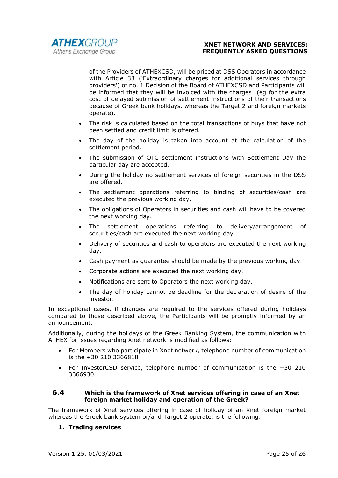of the Providers of ATHEXCSD, will be priced at DSS Operators in accordance with Article 33 ('Extraordinary charges for additional services through providers') of no. 1 Decision of the Board of ATHEXCSD and Participants will be informed that they will be invoiced with the charges (eg for the extra cost of delayed submission of settlement instructions of their transactions because of Greek bank holidays. whereas the Target 2 and foreign markets operate).

- The risk is calculated based on the total transactions of buys that have not been settled and credit limit is offered.
- The day of the holiday is taken into account at the calculation of the settlement period.
- The submission of OTC settlement instructions with Settlement Day the particular day are accepted.
- During the holiday no settlement services of foreign securities in the DSS are offered.
- The settlement operations referring to binding of securities/cash are executed the previous working day.
- The obligations of Operators in securities and cash will have to be covered the next working day.
- The settlement operations referring to delivery/arrangement of securities/cash are executed the next working day.
- Delivery of securities and cash to operators are executed the next working day.
- Cash payment as guarantee should be made by the previous working day.
- Corporate actions are executed the next working day.
- Notifications are sent to Operators the next working day.
- The day of holiday cannot be deadline for the declaration of desire of the investor.

In exceptional cases, if changes are required to the services offered during holidays compared to those described above, the Participants will be promptly informed by an announcement.

Additionally, during the holidays of the Greek Banking System, the communication with ATHEX for issues regarding Xnet network is modified as follows:

- For Members who participate in Xnet network, telephone number of communication is the +30 210 3366818
- For InvestorCSD service, telephone number of communication is the +30 210 3366930.

#### 6.4 Which is the framework of Xnet services offering in case of an Xnet foreign market holiday and operation of the Greek?

The framework of Xnet services offering in case of holiday of an Xnet foreign market whereas the Greek bank system or/and Target 2 operate, is the following:

#### 1. Trading services